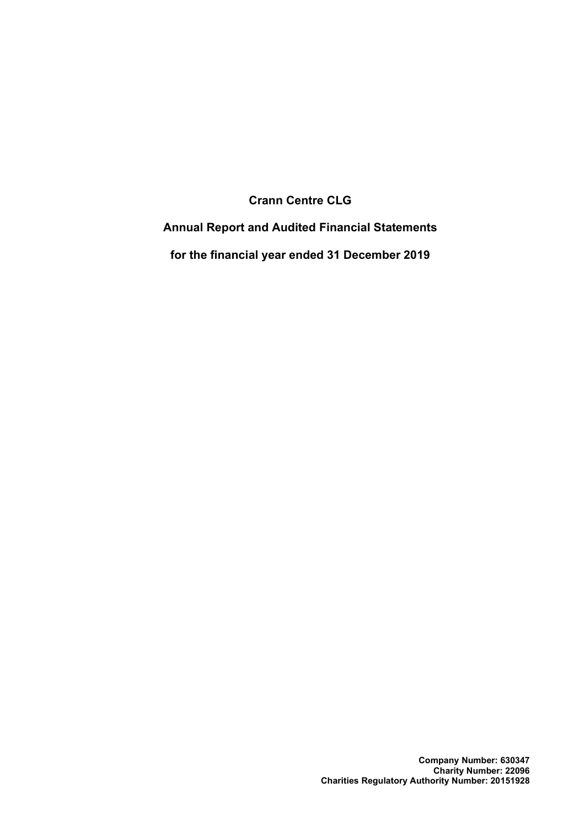Crann Centre CLG

Annual Report and Audited Financial Statements

for the financial year ended 31 December 2019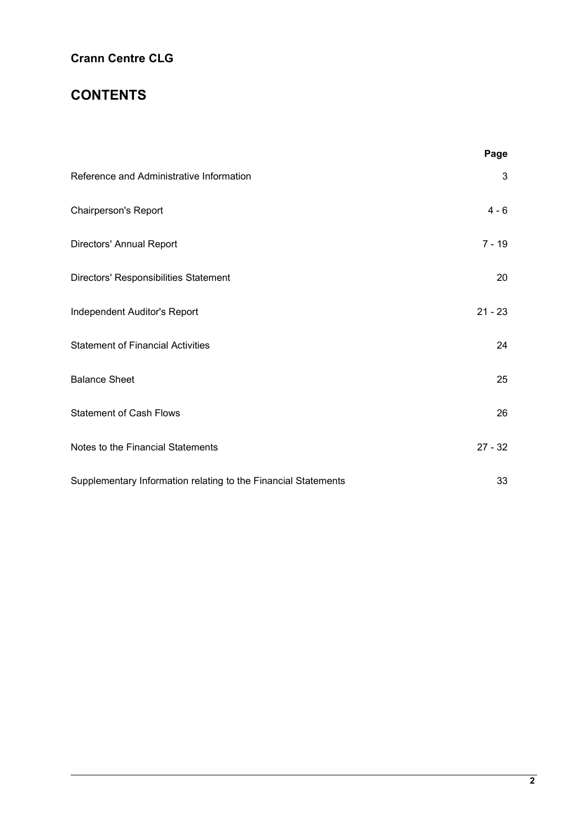# Crann Centre CLG

# **CONTENTS**

|                                                                | Page      |
|----------------------------------------------------------------|-----------|
| Reference and Administrative Information                       | 3         |
| <b>Chairperson's Report</b>                                    | $4 - 6$   |
| Directors' Annual Report                                       | $7 - 19$  |
| Directors' Responsibilities Statement                          | 20        |
| Independent Auditor's Report                                   | $21 - 23$ |
| <b>Statement of Financial Activities</b>                       | 24        |
| <b>Balance Sheet</b>                                           | 25        |
| <b>Statement of Cash Flows</b>                                 | 26        |
| Notes to the Financial Statements                              | $27 - 32$ |
| Supplementary Information relating to the Financial Statements | 33        |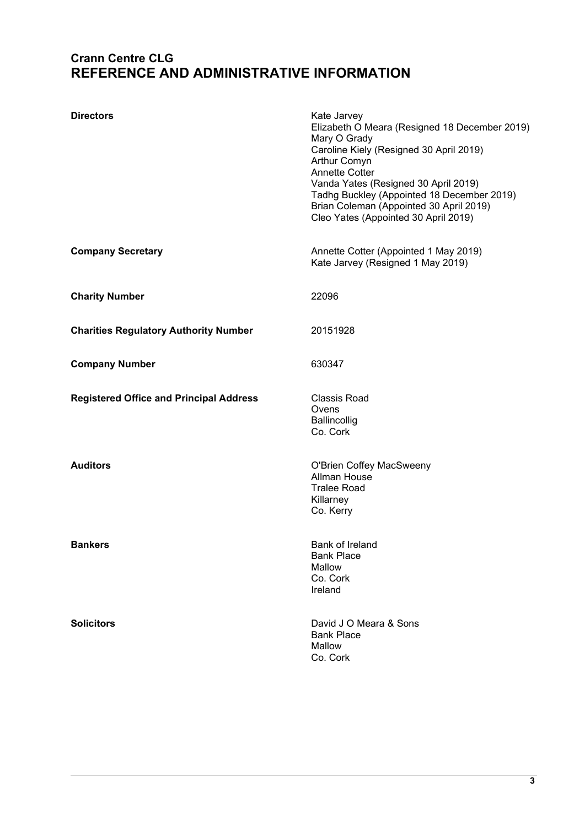### Crann Centre CLG REFERENCE AND ADMINISTRATIVE INFORMATION

| <b>Directors</b>                               | Kate Jarvey<br>Elizabeth O Meara (Resigned 18 December 2019)<br>Mary O Grady<br>Caroline Kiely (Resigned 30 April 2019)<br>Arthur Comyn<br><b>Annette Cotter</b><br>Vanda Yates (Resigned 30 April 2019)<br>Tadhg Buckley (Appointed 18 December 2019)<br>Brian Coleman (Appointed 30 April 2019)<br>Cleo Yates (Appointed 30 April 2019) |
|------------------------------------------------|-------------------------------------------------------------------------------------------------------------------------------------------------------------------------------------------------------------------------------------------------------------------------------------------------------------------------------------------|
| <b>Company Secretary</b>                       | Annette Cotter (Appointed 1 May 2019)<br>Kate Jarvey (Resigned 1 May 2019)                                                                                                                                                                                                                                                                |
| <b>Charity Number</b>                          | 22096                                                                                                                                                                                                                                                                                                                                     |
| <b>Charities Regulatory Authority Number</b>   | 20151928                                                                                                                                                                                                                                                                                                                                  |
| <b>Company Number</b>                          | 630347                                                                                                                                                                                                                                                                                                                                    |
| <b>Registered Office and Principal Address</b> | <b>Classis Road</b><br>Ovens<br>Ballincollig<br>Co. Cork                                                                                                                                                                                                                                                                                  |
| <b>Auditors</b>                                | O'Brien Coffey MacSweeny<br>Allman House<br><b>Tralee Road</b><br>Killarney<br>Co. Kerry                                                                                                                                                                                                                                                  |
| <b>Bankers</b>                                 | Bank of Ireland<br><b>Bank Place</b><br>Mallow<br>Co. Cork<br>Ireland                                                                                                                                                                                                                                                                     |
| <b>Solicitors</b>                              | David J O Meara & Sons<br><b>Bank Place</b><br>Mallow<br>Co. Cork                                                                                                                                                                                                                                                                         |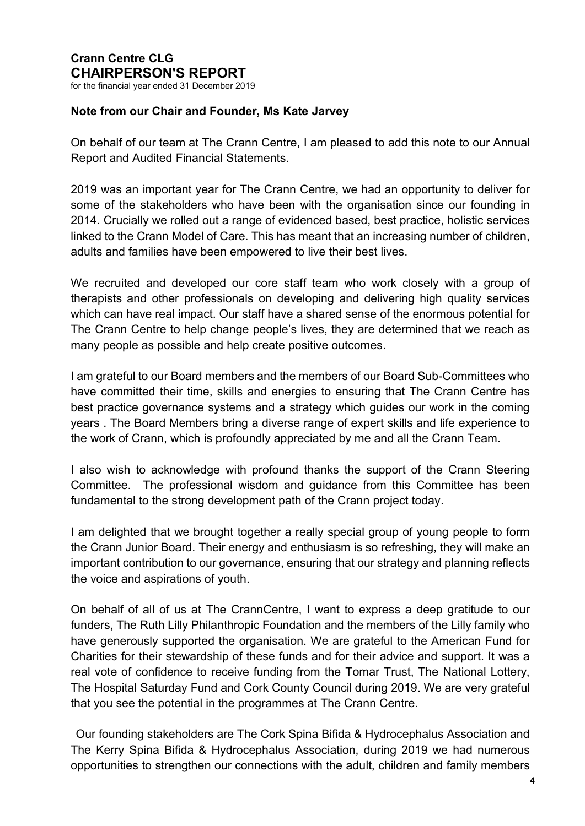### Crann Centre CLG CHAIRPERSON'S REPORT

for the financial year ended 31 December 2019

### Note from our Chair and Founder, Ms Kate Jarvey

On behalf of our team at The Crann Centre, I am pleased to add this note to our Annual Report and Audited Financial Statements.

2019 was an important year for The Crann Centre, we had an opportunity to deliver for some of the stakeholders who have been with the organisation since our founding in 2014. Crucially we rolled out a range of evidenced based, best practice, holistic services linked to the Crann Model of Care. This has meant that an increasing number of children, adults and families have been empowered to live their best lives.

We recruited and developed our core staff team who work closely with a group of therapists and other professionals on developing and delivering high quality services which can have real impact. Our staff have a shared sense of the enormous potential for The Crann Centre to help change people's lives, they are determined that we reach as many people as possible and help create positive outcomes.

I am grateful to our Board members and the members of our Board Sub-Committees who have committed their time, skills and energies to ensuring that The Crann Centre has best practice governance systems and a strategy which guides our work in the coming years . The Board Members bring a diverse range of expert skills and life experience to the work of Crann, which is profoundly appreciated by me and all the Crann Team.

I also wish to acknowledge with profound thanks the support of the Crann Steering Committee. The professional wisdom and guidance from this Committee has been fundamental to the strong development path of the Crann project today.

I am delighted that we brought together a really special group of young people to form the Crann Junior Board. Their energy and enthusiasm is so refreshing, they will make an important contribution to our governance, ensuring that our strategy and planning reflects the voice and aspirations of youth.

On behalf of all of us at The CrannCentre, I want to express a deep gratitude to our funders, The Ruth Lilly Philanthropic Foundation and the members of the Lilly family who have generously supported the organisation. We are grateful to the American Fund for Charities for their stewardship of these funds and for their advice and support. It was a real vote of confidence to receive funding from the Tomar Trust, The National Lottery, The Hospital Saturday Fund and Cork County Council during 2019. We are very grateful that you see the potential in the programmes at The Crann Centre.

Our founding stakeholders are The Cork Spina Bifida & Hydrocephalus Association and The Kerry Spina Bifida & Hydrocephalus Association, during 2019 we had numerous opportunities to strengthen our connections with the adult, children and family members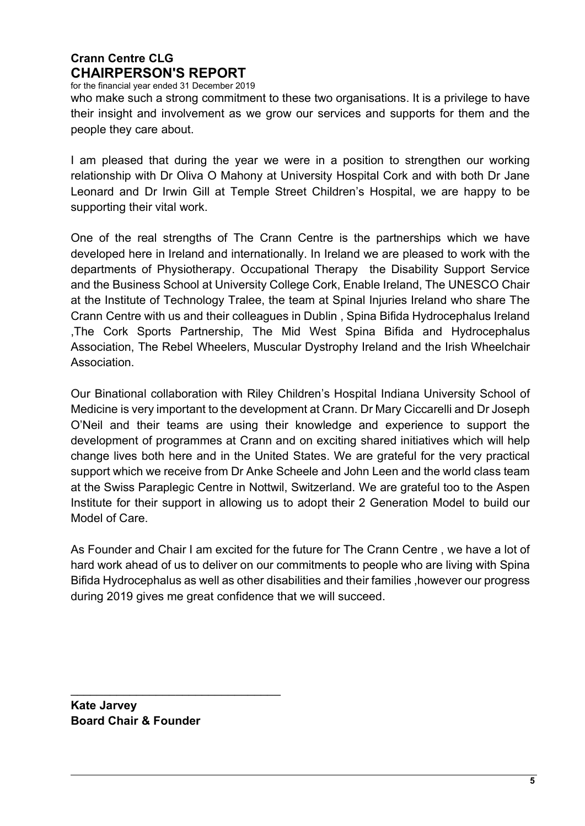# Crann Centre CLG CHAIRPERSON'S REPORT

for the financial year ended 31 December 2019

who make such a strong commitment to these two organisations. It is a privilege to have their insight and involvement as we grow our services and supports for them and the people they care about.

I am pleased that during the year we were in a position to strengthen our working relationship with Dr Oliva O Mahony at University Hospital Cork and with both Dr Jane Leonard and Dr Irwin Gill at Temple Street Children's Hospital, we are happy to be supporting their vital work.

One of the real strengths of The Crann Centre is the partnerships which we have developed here in Ireland and internationally. In Ireland we are pleased to work with the departments of Physiotherapy. Occupational Therapy the Disability Support Service and the Business School at University College Cork, Enable Ireland, The UNESCO Chair at the Institute of Technology Tralee, the team at Spinal Injuries Ireland who share The Crann Centre with us and their colleagues in Dublin , Spina Bifida Hydrocephalus Ireland ,The Cork Sports Partnership, The Mid West Spina Bifida and Hydrocephalus Association, The Rebel Wheelers, Muscular Dystrophy Ireland and the Irish Wheelchair Association.

Our Binational collaboration with Riley Children's Hospital Indiana University School of Medicine is very important to the development at Crann. Dr Mary Ciccarelli and Dr Joseph O'Neil and their teams are using their knowledge and experience to support the development of programmes at Crann and on exciting shared initiatives which will help change lives both here and in the United States. We are grateful for the very practical support which we receive from Dr Anke Scheele and John Leen and the world class team at the Swiss Paraplegic Centre in Nottwil, Switzerland. We are grateful too to the Aspen Institute for their support in allowing us to adopt their 2 Generation Model to build our Model of Care.

As Founder and Chair I am excited for the future for The Crann Centre , we have a lot of hard work ahead of us to deliver on our commitments to people who are living with Spina Bifida Hydrocephalus as well as other disabilities and their families ,however our progress during 2019 gives me great confidence that we will succeed.

Kate Jarvey Board Chair & Founder

\_\_\_\_\_\_\_\_\_\_\_\_\_\_\_\_\_\_\_\_\_\_\_\_\_\_\_\_\_\_\_\_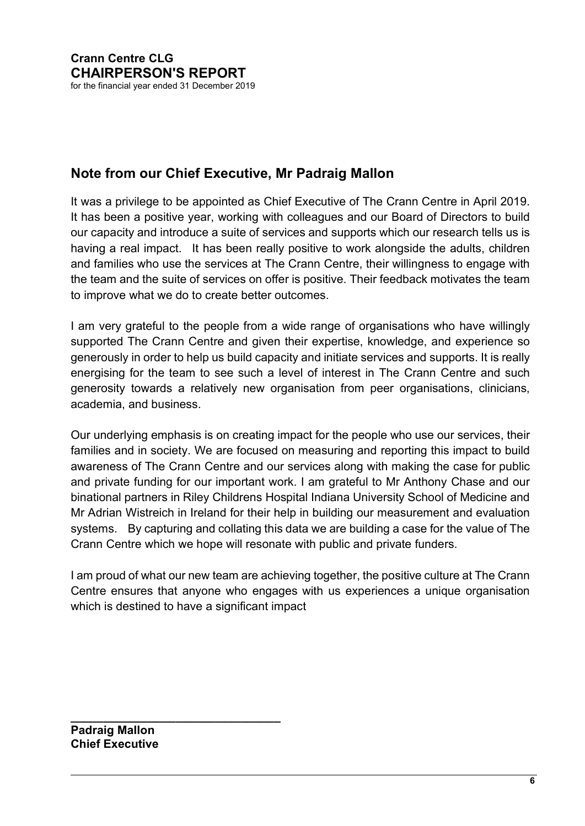# Note from our Chief Executive, Mr Padraig Mallon

It was a privilege to be appointed as Chief Executive of The Crann Centre in April 2019. It has been a positive year, working with colleagues and our Board of Directors to build our capacity and introduce a suite of services and supports which our research tells us is having a real impact. It has been really positive to work alongside the adults, children and families who use the services at The Crann Centre, their willingness to engage with the team and the suite of services on offer is positive. Their feedback motivates the team to improve what we do to create better outcomes.

I am very grateful to the people from a wide range of organisations who have willingly supported The Crann Centre and given their expertise, knowledge, and experience so generously in order to help us build capacity and initiate services and supports. It is really energising for the team to see such a level of interest in The Crann Centre and such generosity towards a relatively new organisation from peer organisations, clinicians, academia, and business.

Our underlying emphasis is on creating impact for the people who use our services, their families and in society. We are focused on measuring and reporting this impact to build awareness of The Crann Centre and our services along with making the case for public and private funding for our important work. I am grateful to Mr Anthony Chase and our binational partners in Riley Childrens Hospital Indiana University School of Medicine and Mr Adrian Wistreich in Ireland for their help in building our measurement and evaluation systems. By capturing and collating this data we are building a case for the value of The Crann Centre which we hope will resonate with public and private funders.

I am proud of what our new team are achieving together, the positive culture at The Crann Centre ensures that anyone who engages with us experiences a unique organisation which is destined to have a significant impact

\_\_\_\_\_\_\_\_\_\_\_\_\_\_\_\_\_\_\_\_\_\_\_\_\_\_\_\_\_\_\_\_ Padraig Mallon Chief Executive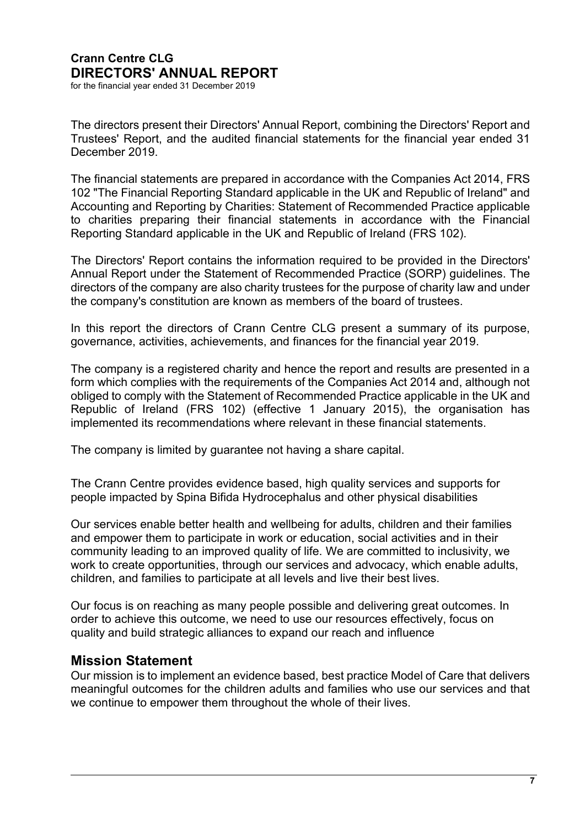for the financial year ended 31 December 2019

The directors present their Directors' Annual Report, combining the Directors' Report and Trustees' Report, and the audited financial statements for the financial year ended 31 December 2019.

The financial statements are prepared in accordance with the Companies Act 2014, FRS 102 "The Financial Reporting Standard applicable in the UK and Republic of Ireland" and Accounting and Reporting by Charities: Statement of Recommended Practice applicable to charities preparing their financial statements in accordance with the Financial Reporting Standard applicable in the UK and Republic of Ireland (FRS 102).

The Directors' Report contains the information required to be provided in the Directors' Annual Report under the Statement of Recommended Practice (SORP) guidelines. The directors of the company are also charity trustees for the purpose of charity law and under the company's constitution are known as members of the board of trustees.

In this report the directors of Crann Centre CLG present a summary of its purpose, governance, activities, achievements, and finances for the financial year 2019.

The company is a registered charity and hence the report and results are presented in a form which complies with the requirements of the Companies Act 2014 and, although not obliged to comply with the Statement of Recommended Practice applicable in the UK and Republic of Ireland (FRS 102) (effective 1 January 2015), the organisation has implemented its recommendations where relevant in these financial statements.

The company is limited by guarantee not having a share capital.

The Crann Centre provides evidence based, high quality services and supports for people impacted by Spina Bifida Hydrocephalus and other physical disabilities

Our services enable better health and wellbeing for adults, children and their families and empower them to participate in work or education, social activities and in their community leading to an improved quality of life. We are committed to inclusivity, we work to create opportunities, through our services and advocacy, which enable adults, children, and families to participate at all levels and live their best lives.

Our focus is on reaching as many people possible and delivering great outcomes. In order to achieve this outcome, we need to use our resources effectively, focus on quality and build strategic alliances to expand our reach and influence

### Mission Statement

Our mission is to implement an evidence based, best practice Model of Care that delivers meaningful outcomes for the children adults and families who use our services and that we continue to empower them throughout the whole of their lives.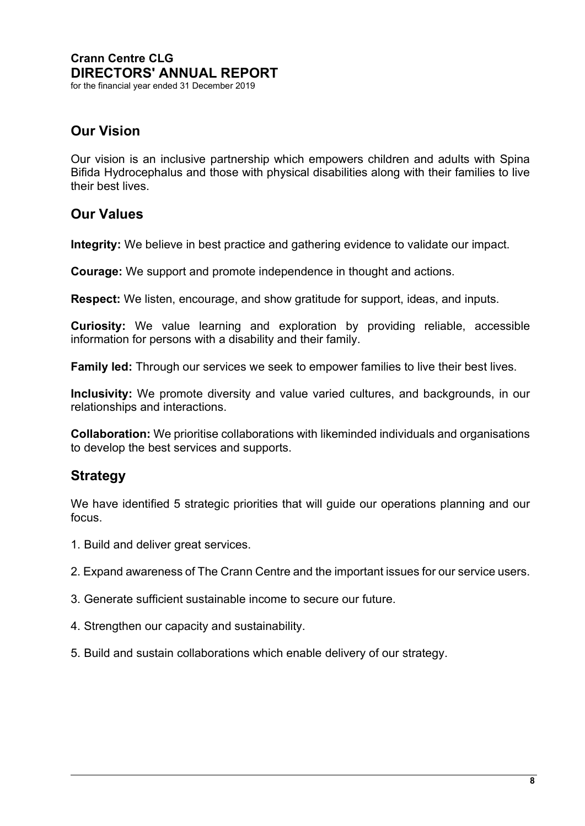for the financial year ended 31 December 2019

# Our Vision

Our vision is an inclusive partnership which empowers children and adults with Spina Bifida Hydrocephalus and those with physical disabilities along with their families to live their best lives.

# Our Values

Integrity: We believe in best practice and gathering evidence to validate our impact.

Courage: We support and promote independence in thought and actions.

Respect: We listen, encourage, and show gratitude for support, ideas, and inputs.

Curiosity: We value learning and exploration by providing reliable, accessible information for persons with a disability and their family.

Family led: Through our services we seek to empower families to live their best lives.

Inclusivity: We promote diversity and value varied cultures, and backgrounds, in our relationships and interactions.

Collaboration: We prioritise collaborations with likeminded individuals and organisations to develop the best services and supports.

# Strategy

We have identified 5 strategic priorities that will guide our operations planning and our focus.

1. Build and deliver great services.

2. Expand awareness of The Crann Centre and the important issues for our service users.

- 3. Generate sufficient sustainable income to secure our future.
- 4. Strengthen our capacity and sustainability.
- 5. Build and sustain collaborations which enable delivery of our strategy.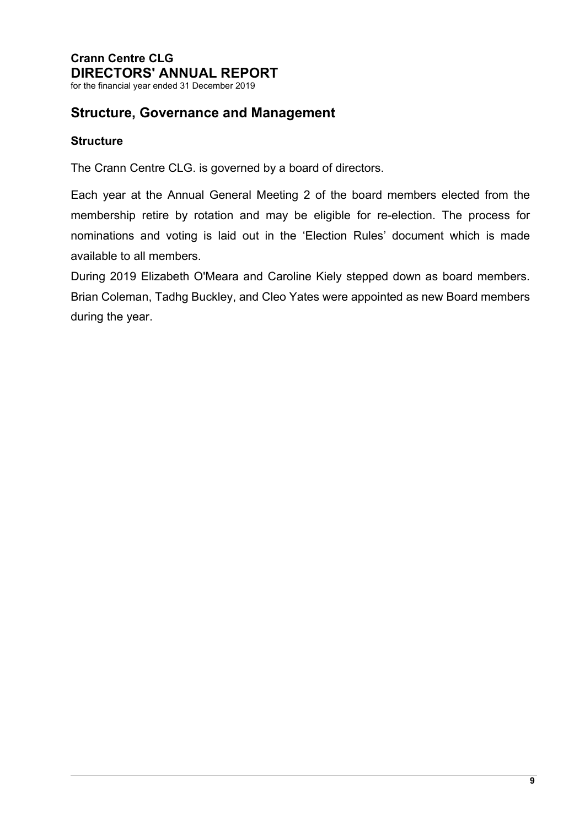for the financial year ended 31 December 2019

# Structure, Governance and Management

### **Structure**

The Crann Centre CLG. is governed by a board of directors.

Each year at the Annual General Meeting 2 of the board members elected from the membership retire by rotation and may be eligible for re-election. The process for nominations and voting is laid out in the 'Election Rules' document which is made available to all members.

During 2019 Elizabeth O'Meara and Caroline Kiely stepped down as board members. Brian Coleman, Tadhg Buckley, and Cleo Yates were appointed as new Board members during the year.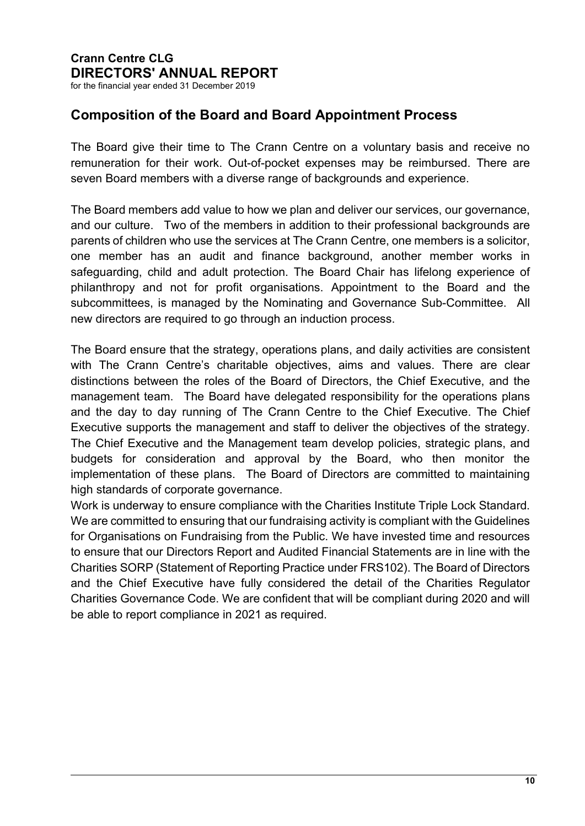for the financial year ended 31 December 2019

# Composition of the Board and Board Appointment Process

The Board give their time to The Crann Centre on a voluntary basis and receive no remuneration for their work. Out-of-pocket expenses may be reimbursed. There are seven Board members with a diverse range of backgrounds and experience.

The Board members add value to how we plan and deliver our services, our governance, and our culture. Two of the members in addition to their professional backgrounds are parents of children who use the services at The Crann Centre, one members is a solicitor, one member has an audit and finance background, another member works in safeguarding, child and adult protection. The Board Chair has lifelong experience of philanthropy and not for profit organisations. Appointment to the Board and the subcommittees, is managed by the Nominating and Governance Sub-Committee. All new directors are required to go through an induction process.

The Board ensure that the strategy, operations plans, and daily activities are consistent with The Crann Centre's charitable objectives, aims and values. There are clear distinctions between the roles of the Board of Directors, the Chief Executive, and the management team. The Board have delegated responsibility for the operations plans and the day to day running of The Crann Centre to the Chief Executive. The Chief Executive supports the management and staff to deliver the objectives of the strategy. The Chief Executive and the Management team develop policies, strategic plans, and budgets for consideration and approval by the Board, who then monitor the implementation of these plans. The Board of Directors are committed to maintaining high standards of corporate governance.

Work is underway to ensure compliance with the Charities Institute Triple Lock Standard. We are committed to ensuring that our fundraising activity is compliant with the Guidelines for Organisations on Fundraising from the Public. We have invested time and resources to ensure that our Directors Report and Audited Financial Statements are in line with the Charities SORP (Statement of Reporting Practice under FRS102). The Board of Directors and the Chief Executive have fully considered the detail of the Charities Regulator Charities Governance Code. We are confident that will be compliant during 2020 and will be able to report compliance in 2021 as required.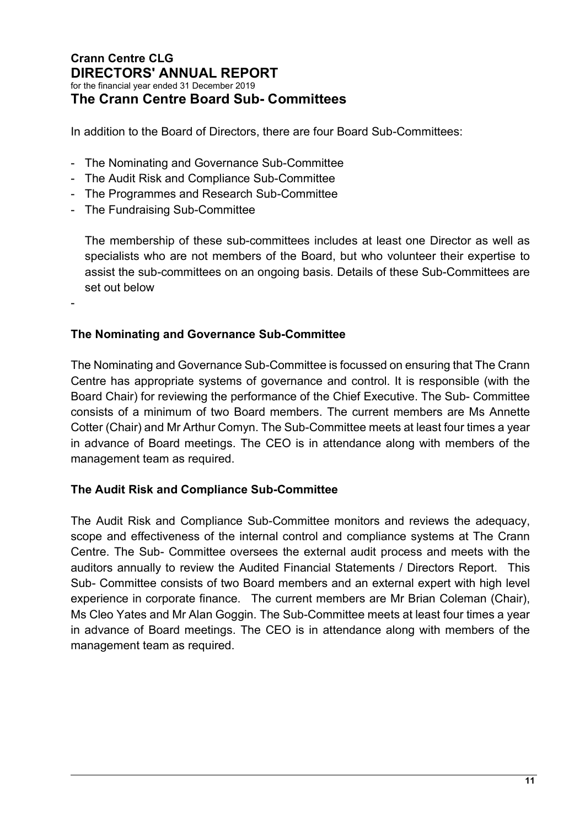### Crann Centre CLG DIRECTORS' ANNUAL REPORT for the financial year ended 31 December 2019 The Crann Centre Board Sub- Committees

In addition to the Board of Directors, there are four Board Sub-Committees:

- The Nominating and Governance Sub-Committee
- The Audit Risk and Compliance Sub-Committee
- The Programmes and Research Sub-Committee
- The Fundraising Sub-Committee

-

The membership of these sub-committees includes at least one Director as well as specialists who are not members of the Board, but who volunteer their expertise to assist the sub-committees on an ongoing basis. Details of these Sub-Committees are set out below

### The Nominating and Governance Sub-Committee

The Nominating and Governance Sub-Committee is focussed on ensuring that The Crann Centre has appropriate systems of governance and control. It is responsible (with the Board Chair) for reviewing the performance of the Chief Executive. The Sub- Committee consists of a minimum of two Board members. The current members are Ms Annette Cotter (Chair) and Mr Arthur Comyn. The Sub-Committee meets at least four times a year in advance of Board meetings. The CEO is in attendance along with members of the management team as required.

### The Audit Risk and Compliance Sub-Committee

The Audit Risk and Compliance Sub-Committee monitors and reviews the adequacy, scope and effectiveness of the internal control and compliance systems at The Crann Centre. The Sub- Committee oversees the external audit process and meets with the auditors annually to review the Audited Financial Statements / Directors Report. This Sub- Committee consists of two Board members and an external expert with high level experience in corporate finance. The current members are Mr Brian Coleman (Chair), Ms Cleo Yates and Mr Alan Goggin. The Sub-Committee meets at least four times a year in advance of Board meetings. The CEO is in attendance along with members of the management team as required.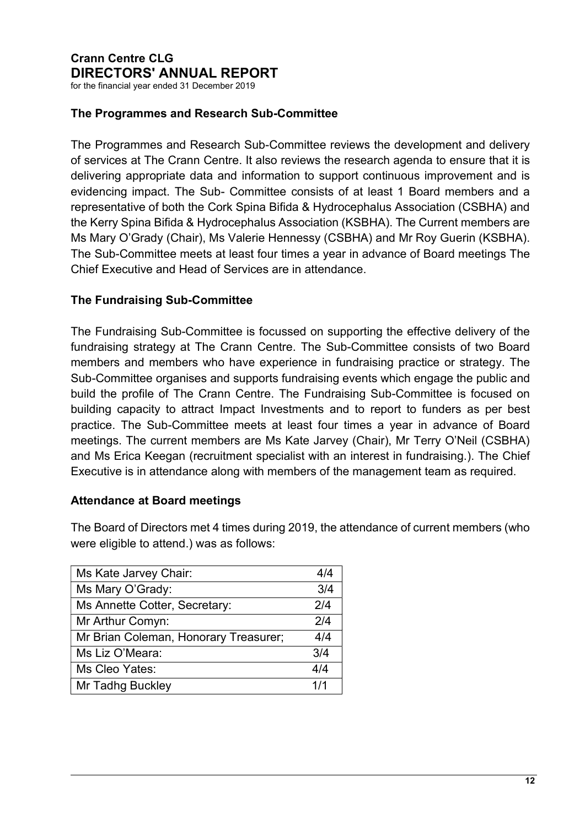for the financial year ended 31 December 2019

### The Programmes and Research Sub-Committee

The Programmes and Research Sub-Committee reviews the development and delivery of services at The Crann Centre. It also reviews the research agenda to ensure that it is delivering appropriate data and information to support continuous improvement and is evidencing impact. The Sub- Committee consists of at least 1 Board members and a representative of both the Cork Spina Bifida & Hydrocephalus Association (CSBHA) and the Kerry Spina Bifida & Hydrocephalus Association (KSBHA). The Current members are Ms Mary O'Grady (Chair), Ms Valerie Hennessy (CSBHA) and Mr Roy Guerin (KSBHA). The Sub-Committee meets at least four times a year in advance of Board meetings The Chief Executive and Head of Services are in attendance.

### The Fundraising Sub-Committee

The Fundraising Sub-Committee is focussed on supporting the effective delivery of the fundraising strategy at The Crann Centre. The Sub-Committee consists of two Board members and members who have experience in fundraising practice or strategy. The Sub-Committee organises and supports fundraising events which engage the public and build the profile of The Crann Centre. The Fundraising Sub-Committee is focused on building capacity to attract Impact Investments and to report to funders as per best practice. The Sub-Committee meets at least four times a year in advance of Board meetings. The current members are Ms Kate Jarvey (Chair), Mr Terry O'Neil (CSBHA) and Ms Erica Keegan (recruitment specialist with an interest in fundraising.). The Chief Executive is in attendance along with members of the management team as required.

### Attendance at Board meetings

The Board of Directors met 4 times during 2019, the attendance of current members (who were eligible to attend.) was as follows:

| Ms Kate Jarvey Chair:                 | 4/4 |
|---------------------------------------|-----|
| Ms Mary O'Grady:                      | 3/4 |
| Ms Annette Cotter, Secretary:         | 2/4 |
| Mr Arthur Comyn:                      | 2/4 |
| Mr Brian Coleman, Honorary Treasurer; | 4/4 |
| Ms Liz O'Meara:                       | 3/4 |
| Ms Cleo Yates:                        | 4/4 |
| Mr Tadhg Buckley                      | 1/1 |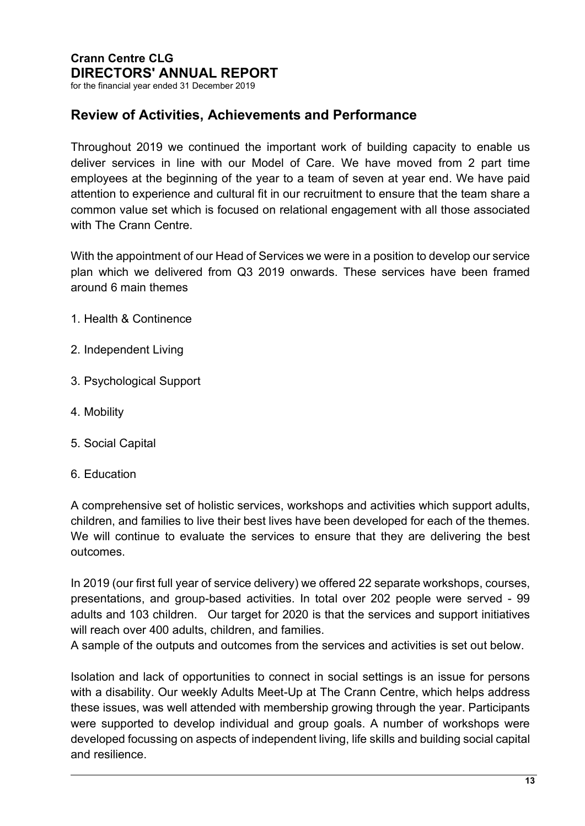for the financial year ended 31 December 2019

# Review of Activities, Achievements and Performance

Throughout 2019 we continued the important work of building capacity to enable us deliver services in line with our Model of Care. We have moved from 2 part time employees at the beginning of the year to a team of seven at year end. We have paid attention to experience and cultural fit in our recruitment to ensure that the team share a common value set which is focused on relational engagement with all those associated with The Crann Centre.

With the appointment of our Head of Services we were in a position to develop our service plan which we delivered from Q3 2019 onwards. These services have been framed around 6 main themes

- 1. Health & Continence
- 2. Independent Living
- 3. Psychological Support
- 4. Mobility
- 5. Social Capital
- 6. Education

A comprehensive set of holistic services, workshops and activities which support adults, children, and families to live their best lives have been developed for each of the themes. We will continue to evaluate the services to ensure that they are delivering the best outcomes.

In 2019 (our first full year of service delivery) we offered 22 separate workshops, courses, presentations, and group-based activities. In total over 202 people were served - 99 adults and 103 children. Our target for 2020 is that the services and support initiatives will reach over 400 adults, children, and families.

A sample of the outputs and outcomes from the services and activities is set out below.

Isolation and lack of opportunities to connect in social settings is an issue for persons with a disability. Our weekly Adults Meet-Up at The Crann Centre, which helps address these issues, was well attended with membership growing through the year. Participants were supported to develop individual and group goals. A number of workshops were developed focussing on aspects of independent living, life skills and building social capital and resilience.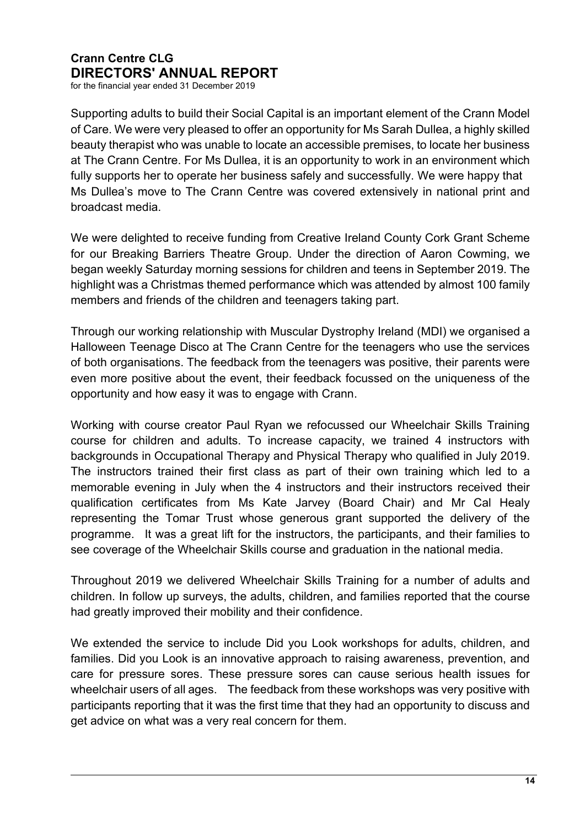for the financial year ended 31 December 2019

Supporting adults to build their Social Capital is an important element of the Crann Model of Care. We were very pleased to offer an opportunity for Ms Sarah Dullea, a highly skilled beauty therapist who was unable to locate an accessible premises, to locate her business at The Crann Centre. For Ms Dullea, it is an opportunity to work in an environment which fully supports her to operate her business safely and successfully. We were happy that Ms Dullea's move to The Crann Centre was covered extensively in national print and broadcast media.

We were delighted to receive funding from Creative Ireland County Cork Grant Scheme for our Breaking Barriers Theatre Group. Under the direction of Aaron Cowming, we began weekly Saturday morning sessions for children and teens in September 2019. The highlight was a Christmas themed performance which was attended by almost 100 family members and friends of the children and teenagers taking part.

Through our working relationship with Muscular Dystrophy Ireland (MDI) we organised a Halloween Teenage Disco at The Crann Centre for the teenagers who use the services of both organisations. The feedback from the teenagers was positive, their parents were even more positive about the event, their feedback focussed on the uniqueness of the opportunity and how easy it was to engage with Crann.

Working with course creator Paul Ryan we refocussed our Wheelchair Skills Training course for children and adults. To increase capacity, we trained 4 instructors with backgrounds in Occupational Therapy and Physical Therapy who qualified in July 2019. The instructors trained their first class as part of their own training which led to a memorable evening in July when the 4 instructors and their instructors received their qualification certificates from Ms Kate Jarvey (Board Chair) and Mr Cal Healy representing the Tomar Trust whose generous grant supported the delivery of the programme. It was a great lift for the instructors, the participants, and their families to see coverage of the Wheelchair Skills course and graduation in the national media.

Throughout 2019 we delivered Wheelchair Skills Training for a number of adults and children. In follow up surveys, the adults, children, and families reported that the course had greatly improved their mobility and their confidence.

We extended the service to include Did you Look workshops for adults, children, and families. Did you Look is an innovative approach to raising awareness, prevention, and care for pressure sores. These pressure sores can cause serious health issues for wheelchair users of all ages. The feedback from these workshops was very positive with participants reporting that it was the first time that they had an opportunity to discuss and get advice on what was a very real concern for them.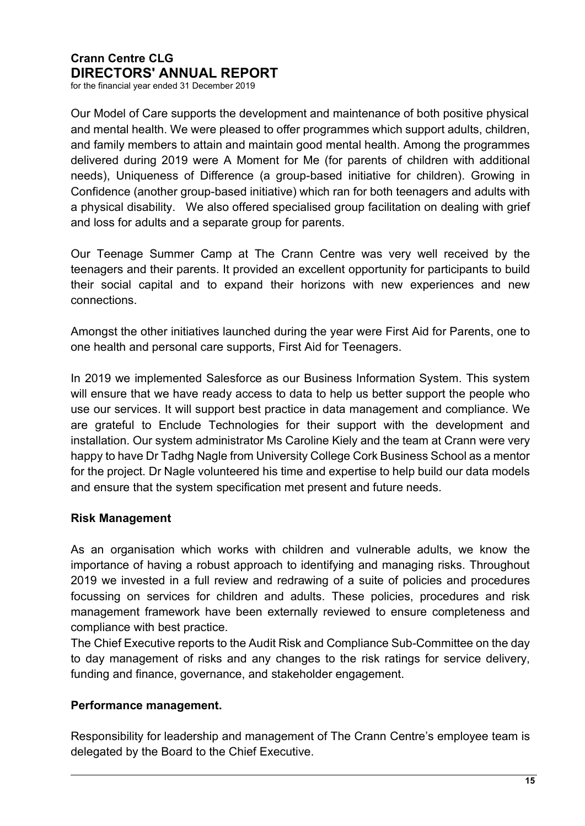for the financial year ended 31 December 2019

Our Model of Care supports the development and maintenance of both positive physical and mental health. We were pleased to offer programmes which support adults, children, and family members to attain and maintain good mental health. Among the programmes delivered during 2019 were A Moment for Me (for parents of children with additional needs), Uniqueness of Difference (a group-based initiative for children). Growing in Confidence (another group-based initiative) which ran for both teenagers and adults with a physical disability. We also offered specialised group facilitation on dealing with grief and loss for adults and a separate group for parents.

Our Teenage Summer Camp at The Crann Centre was very well received by the teenagers and their parents. It provided an excellent opportunity for participants to build their social capital and to expand their horizons with new experiences and new connections.

Amongst the other initiatives launched during the year were First Aid for Parents, one to one health and personal care supports, First Aid for Teenagers.

In 2019 we implemented Salesforce as our Business Information System. This system will ensure that we have ready access to data to help us better support the people who use our services. It will support best practice in data management and compliance. We are grateful to Enclude Technologies for their support with the development and installation. Our system administrator Ms Caroline Kiely and the team at Crann were very happy to have Dr Tadhg Nagle from University College Cork Business School as a mentor for the project. Dr Nagle volunteered his time and expertise to help build our data models and ensure that the system specification met present and future needs.

### Risk Management

As an organisation which works with children and vulnerable adults, we know the importance of having a robust approach to identifying and managing risks. Throughout 2019 we invested in a full review and redrawing of a suite of policies and procedures focussing on services for children and adults. These policies, procedures and risk management framework have been externally reviewed to ensure completeness and compliance with best practice.

The Chief Executive reports to the Audit Risk and Compliance Sub-Committee on the day to day management of risks and any changes to the risk ratings for service delivery, funding and finance, governance, and stakeholder engagement.

### Performance management.

Responsibility for leadership and management of The Crann Centre's employee team is delegated by the Board to the Chief Executive.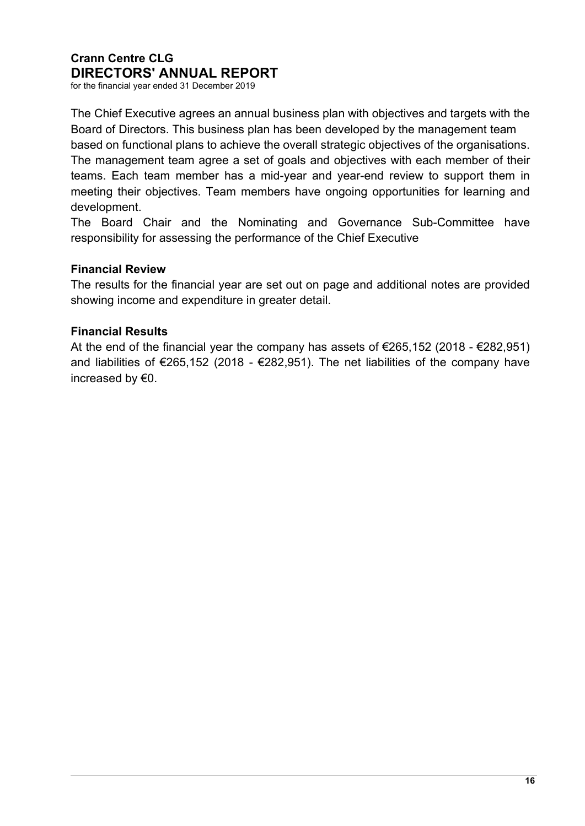for the financial year ended 31 December 2019

The Chief Executive agrees an annual business plan with objectives and targets with the Board of Directors. This business plan has been developed by the management team based on functional plans to achieve the overall strategic objectives of the organisations. The management team agree a set of goals and objectives with each member of their teams. Each team member has a mid-year and year-end review to support them in meeting their objectives. Team members have ongoing opportunities for learning and development.

The Board Chair and the Nominating and Governance Sub-Committee have responsibility for assessing the performance of the Chief Executive

### Financial Review

The results for the financial year are set out on page and additional notes are provided showing income and expenditure in greater detail.

### Financial Results

At the end of the financial year the company has assets of  $\epsilon$ 265,152 (2018 -  $\epsilon$ 282,951) and liabilities of  $\epsilon$ 265,152 (2018 -  $\epsilon$ 282,951). The net liabilities of the company have increased by €0.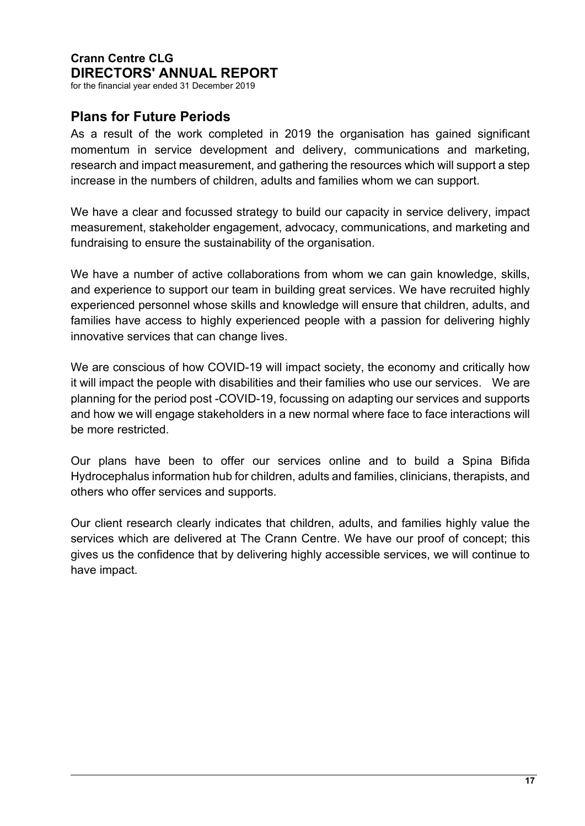for the financial year ended 31 December 2019

# Plans for Future Periods

As a result of the work completed in 2019 the organisation has gained significant momentum in service development and delivery, communications and marketing, research and impact measurement, and gathering the resources which will support a step increase in the numbers of children, adults and families whom we can support.

We have a clear and focussed strategy to build our capacity in service delivery, impact measurement, stakeholder engagement, advocacy, communications, and marketing and fundraising to ensure the sustainability of the organisation.

We have a number of active collaborations from whom we can gain knowledge, skills, and experience to support our team in building great services. We have recruited highly experienced personnel whose skills and knowledge will ensure that children, adults, and families have access to highly experienced people with a passion for delivering highly innovative services that can change lives.

We are conscious of how COVID-19 will impact society, the economy and critically how it will impact the people with disabilities and their families who use our services. We are planning for the period post -COVID-19, focussing on adapting our services and supports and how we will engage stakeholders in a new normal where face to face interactions will be more restricted.

Our plans have been to offer our services online and to build a Spina Bifida Hydrocephalus information hub for children, adults and families, clinicians, therapists, and others who offer services and supports.

Our client research clearly indicates that children, adults, and families highly value the services which are delivered at The Crann Centre. We have our proof of concept; this gives us the confidence that by delivering highly accessible services, we will continue to have impact.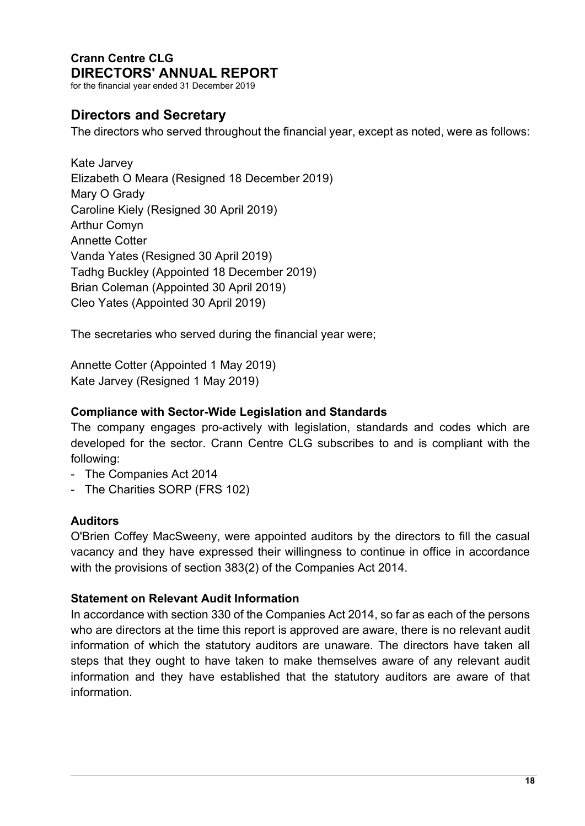for the financial year ended 31 December 2019

# Directors and Secretary

The directors who served throughout the financial year, except as noted, were as follows:

Kate Jarvey Elizabeth O Meara (Resigned 18 December 2019) Mary O Grady Caroline Kiely (Resigned 30 April 2019) Arthur Comyn Annette Cotter Vanda Yates (Resigned 30 April 2019) Tadhg Buckley (Appointed 18 December 2019) Brian Coleman (Appointed 30 April 2019) Cleo Yates (Appointed 30 April 2019)

The secretaries who served during the financial year were;

Annette Cotter (Appointed 1 May 2019) Kate Jarvey (Resigned 1 May 2019)

### Compliance with Sector-Wide Legislation and Standards

The company engages pro-actively with legislation, standards and codes which are developed for the sector. Crann Centre CLG subscribes to and is compliant with the following:

- The Companies Act 2014
- The Charities SORP (FRS 102)

### Auditors

O'Brien Coffey MacSweeny, were appointed auditors by the directors to fill the casual vacancy and they have expressed their willingness to continue in office in accordance with the provisions of section 383(2) of the Companies Act 2014.

### Statement on Relevant Audit Information

In accordance with section 330 of the Companies Act 2014, so far as each of the persons who are directors at the time this report is approved are aware, there is no relevant audit information of which the statutory auditors are unaware. The directors have taken all steps that they ought to have taken to make themselves aware of any relevant audit information and they have established that the statutory auditors are aware of that information.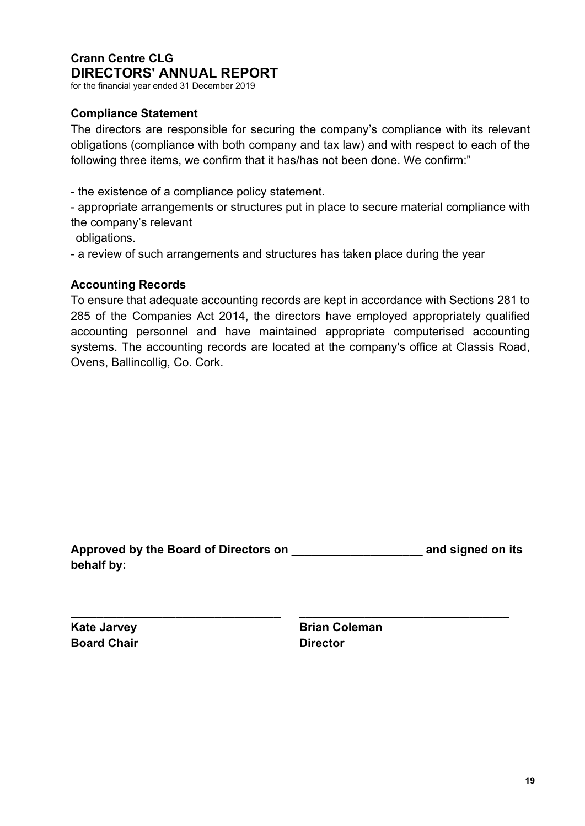for the financial year ended 31 December 2019

### Compliance Statement

The directors are responsible for securing the company's compliance with its relevant obligations (compliance with both company and tax law) and with respect to each of the following three items, we confirm that it has/has not been done. We confirm:"

- the existence of a compliance policy statement.

- appropriate arrangements or structures put in place to secure material compliance with the company's relevant

obligations.

- a review of such arrangements and structures has taken place during the year

### Accounting Records

To ensure that adequate accounting records are kept in accordance with Sections 281 to 285 of the Companies Act 2014, the directors have employed appropriately qualified accounting personnel and have maintained appropriate computerised accounting systems. The accounting records are located at the company's office at Classis Road, Ovens, Ballincollig, Co. Cork.

| Approved by the Board of Directors on | and signed on its |
|---------------------------------------|-------------------|
| behalf by:                            |                   |

\_\_\_\_\_\_\_\_\_\_\_\_\_\_\_\_\_\_\_\_\_\_\_\_\_\_\_\_\_\_\_\_ \_\_\_\_\_\_\_\_\_\_\_\_\_\_\_\_\_\_\_\_\_\_\_\_\_\_\_\_\_\_\_\_

Board Chair **Director** Director

Kate Jarvey **Brian Coleman**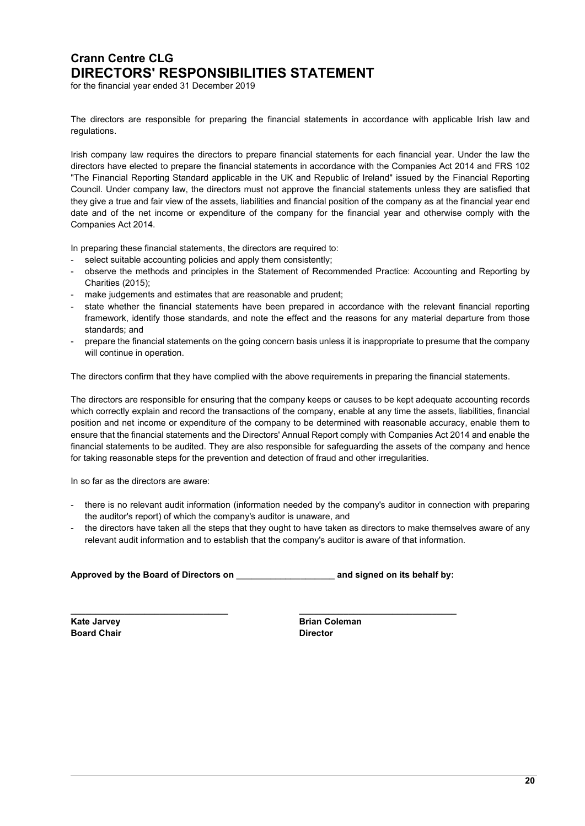### Crann Centre CLG DIRECTORS' RESPONSIBILITIES STATEMENT

for the financial year ended 31 December 2019

The directors are responsible for preparing the financial statements in accordance with applicable Irish law and regulations.

Irish company law requires the directors to prepare financial statements for each financial year. Under the law the directors have elected to prepare the financial statements in accordance with the Companies Act 2014 and FRS 102 "The Financial Reporting Standard applicable in the UK and Republic of Ireland" issued by the Financial Reporting Council. Under company law, the directors must not approve the financial statements unless they are satisfied that they give a true and fair view of the assets, liabilities and financial position of the company as at the financial year end date and of the net income or expenditure of the company for the financial year and otherwise comply with the Companies Act 2014.

In preparing these financial statements, the directors are required to:

- select suitable accounting policies and apply them consistently;
- observe the methods and principles in the Statement of Recommended Practice: Accounting and Reporting by Charities (2015);
- make judgements and estimates that are reasonable and prudent;
- state whether the financial statements have been prepared in accordance with the relevant financial reporting framework, identify those standards, and note the effect and the reasons for any material departure from those standards; and
- prepare the financial statements on the going concern basis unless it is inappropriate to presume that the company will continue in operation.

The directors confirm that they have complied with the above requirements in preparing the financial statements.

The directors are responsible for ensuring that the company keeps or causes to be kept adequate accounting records which correctly explain and record the transactions of the company, enable at any time the assets, liabilities, financial position and net income or expenditure of the company to be determined with reasonable accuracy, enable them to ensure that the financial statements and the Directors' Annual Report comply with Companies Act 2014 and enable the financial statements to be audited. They are also responsible for safeguarding the assets of the company and hence for taking reasonable steps for the prevention and detection of fraud and other irregularities.

In so far as the directors are aware:

- there is no relevant audit information (information needed by the company's auditor in connection with preparing the auditor's report) of which the company's auditor is unaware, and
- the directors have taken all the steps that they ought to have taken as directors to make themselves aware of any relevant audit information and to establish that the company's auditor is aware of that information.

Approved by the Board of Directors on **Example 20** and signed on its behalf by:

Board Chair **Director Director** 

 $\_$  , and the set of the set of the set of the set of the set of the set of the set of the set of the set of the set of the set of the set of the set of the set of the set of the set of the set of the set of the set of th **Kate Jarvey Community Coleman** Brian Coleman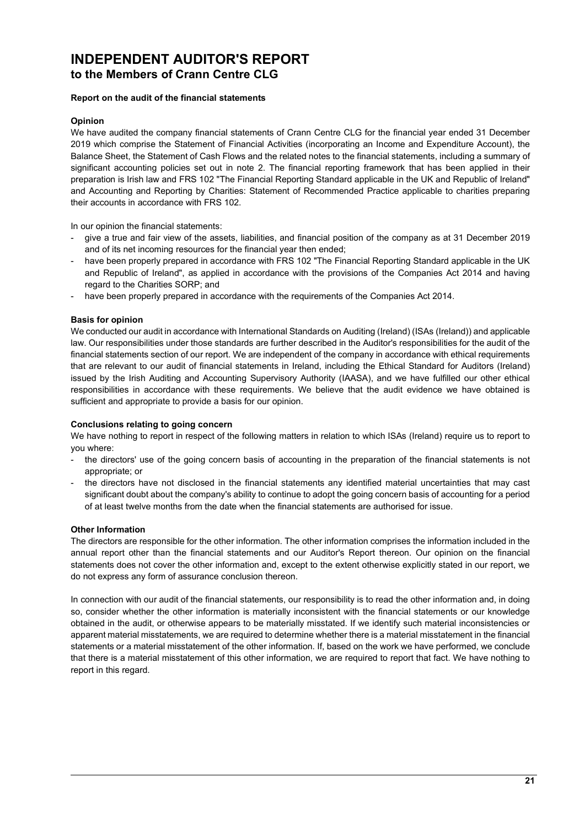### INDEPENDENT AUDITOR'S REPORT to the Members of Crann Centre CLG

### Report on the audit of the financial statements

### Opinion

We have audited the company financial statements of Crann Centre CLG for the financial year ended 31 December 2019 which comprise the Statement of Financial Activities (incorporating an Income and Expenditure Account), the Balance Sheet, the Statement of Cash Flows and the related notes to the financial statements, including a summary of significant accounting policies set out in note 2. The financial reporting framework that has been applied in their preparation is Irish law and FRS 102 "The Financial Reporting Standard applicable in the UK and Republic of Ireland" and Accounting and Reporting by Charities: Statement of Recommended Practice applicable to charities preparing their accounts in accordance with FRS 102.

In our opinion the financial statements:

- give a true and fair view of the assets, liabilities, and financial position of the company as at 31 December 2019 and of its net incoming resources for the financial year then ended;
- have been properly prepared in accordance with FRS 102 "The Financial Reporting Standard applicable in the UK and Republic of Ireland", as applied in accordance with the provisions of the Companies Act 2014 and having regard to the Charities SORP; and
- have been properly prepared in accordance with the requirements of the Companies Act 2014.

### Basis for opinion

We conducted our audit in accordance with International Standards on Auditing (Ireland) (ISAs (Ireland)) and applicable law. Our responsibilities under those standards are further described in the Auditor's responsibilities for the audit of the financial statements section of our report. We are independent of the company in accordance with ethical requirements that are relevant to our audit of financial statements in Ireland, including the Ethical Standard for Auditors (Ireland) issued by the Irish Auditing and Accounting Supervisory Authority (IAASA), and we have fulfilled our other ethical responsibilities in accordance with these requirements. We believe that the audit evidence we have obtained is sufficient and appropriate to provide a basis for our opinion.

#### Conclusions relating to going concern

We have nothing to report in respect of the following matters in relation to which ISAs (Ireland) require us to report to you where:

- the directors' use of the going concern basis of accounting in the preparation of the financial statements is not appropriate; or
- the directors have not disclosed in the financial statements any identified material uncertainties that may cast significant doubt about the company's ability to continue to adopt the going concern basis of accounting for a period of at least twelve months from the date when the financial statements are authorised for issue.

### Other Information

The directors are responsible for the other information. The other information comprises the information included in the annual report other than the financial statements and our Auditor's Report thereon. Our opinion on the financial statements does not cover the other information and, except to the extent otherwise explicitly stated in our report, we do not express any form of assurance conclusion thereon.

In connection with our audit of the financial statements, our responsibility is to read the other information and, in doing so, consider whether the other information is materially inconsistent with the financial statements or our knowledge obtained in the audit, or otherwise appears to be materially misstated. If we identify such material inconsistencies or apparent material misstatements, we are required to determine whether there is a material misstatement in the financial statements or a material misstatement of the other information. If, based on the work we have performed, we conclude that there is a material misstatement of this other information, we are required to report that fact. We have nothing to report in this regard.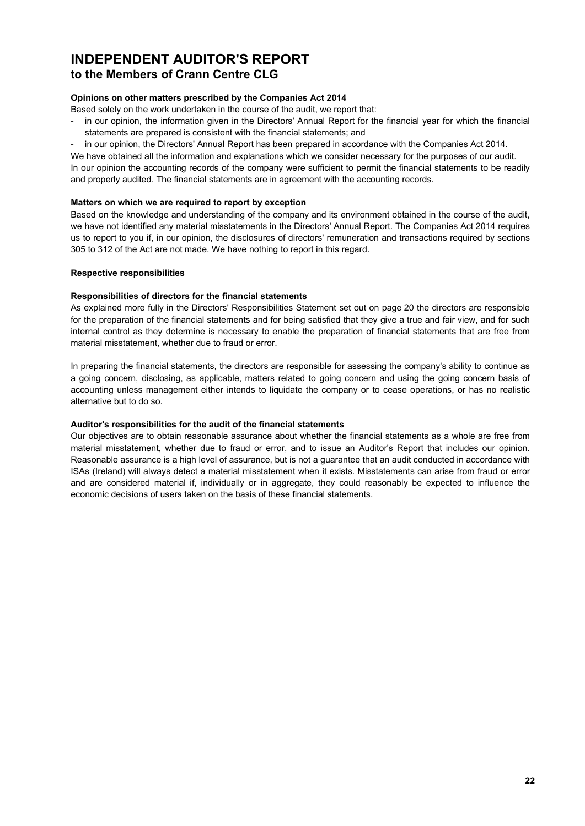### INDEPENDENT AUDITOR'S REPORT to the Members of Crann Centre CLG

### Opinions on other matters prescribed by the Companies Act 2014

Based solely on the work undertaken in the course of the audit, we report that:

in our opinion, the information given in the Directors' Annual Report for the financial year for which the financial statements are prepared is consistent with the financial statements; and

in our opinion, the Directors' Annual Report has been prepared in accordance with the Companies Act 2014. We have obtained all the information and explanations which we consider necessary for the purposes of our audit. In our opinion the accounting records of the company were sufficient to permit the financial statements to be readily and properly audited. The financial statements are in agreement with the accounting records.

### Matters on which we are required to report by exception

Based on the knowledge and understanding of the company and its environment obtained in the course of the audit, we have not identified any material misstatements in the Directors' Annual Report. The Companies Act 2014 requires us to report to you if, in our opinion, the disclosures of directors' remuneration and transactions required by sections 305 to 312 of the Act are not made. We have nothing to report in this regard.

### Respective responsibilities

### Responsibilities of directors for the financial statements

As explained more fully in the Directors' Responsibilities Statement set out on page 20 the directors are responsible for the preparation of the financial statements and for being satisfied that they give a true and fair view, and for such internal control as they determine is necessary to enable the preparation of financial statements that are free from material misstatement, whether due to fraud or error.

In preparing the financial statements, the directors are responsible for assessing the company's ability to continue as a going concern, disclosing, as applicable, matters related to going concern and using the going concern basis of accounting unless management either intends to liquidate the company or to cease operations, or has no realistic alternative but to do so.

### Auditor's responsibilities for the audit of the financial statements

Our objectives are to obtain reasonable assurance about whether the financial statements as a whole are free from material misstatement, whether due to fraud or error, and to issue an Auditor's Report that includes our opinion. Reasonable assurance is a high level of assurance, but is not a guarantee that an audit conducted in accordance with ISAs (Ireland) will always detect a material misstatement when it exists. Misstatements can arise from fraud or error and are considered material if, individually or in aggregate, they could reasonably be expected to influence the economic decisions of users taken on the basis of these financial statements.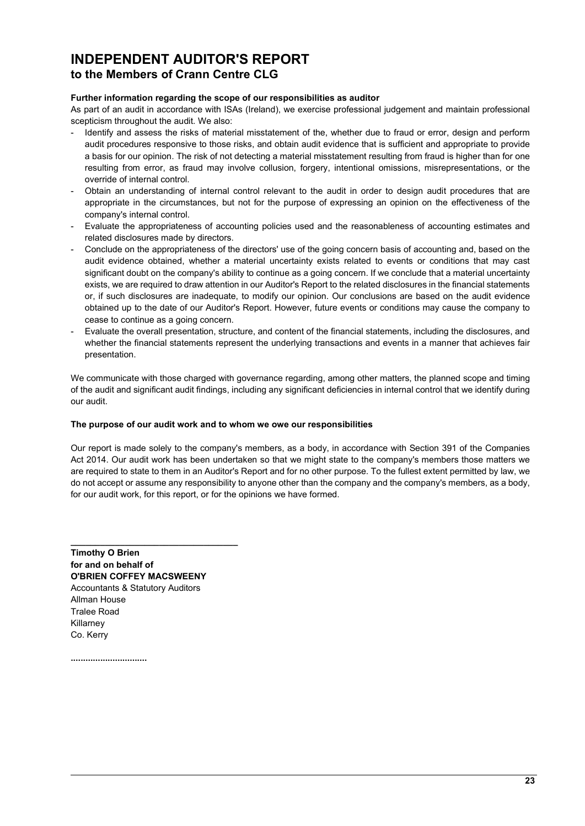### INDEPENDENT AUDITOR'S REPORT to the Members of Crann Centre CLG

### Further information regarding the scope of our responsibilities as auditor

As part of an audit in accordance with ISAs (Ireland), we exercise professional judgement and maintain professional scepticism throughout the audit. We also:

- Identify and assess the risks of material misstatement of the, whether due to fraud or error, design and perform audit procedures responsive to those risks, and obtain audit evidence that is sufficient and appropriate to provide a basis for our opinion. The risk of not detecting a material misstatement resulting from fraud is higher than for one resulting from error, as fraud may involve collusion, forgery, intentional omissions, misrepresentations, or the override of internal control.
- Obtain an understanding of internal control relevant to the audit in order to design audit procedures that are appropriate in the circumstances, but not for the purpose of expressing an opinion on the effectiveness of the company's internal control.
- Evaluate the appropriateness of accounting policies used and the reasonableness of accounting estimates and related disclosures made by directors.
- Conclude on the appropriateness of the directors' use of the going concern basis of accounting and, based on the audit evidence obtained, whether a material uncertainty exists related to events or conditions that may cast significant doubt on the company's ability to continue as a going concern. If we conclude that a material uncertainty exists, we are required to draw attention in our Auditor's Report to the related disclosures in the financial statements or, if such disclosures are inadequate, to modify our opinion. Our conclusions are based on the audit evidence obtained up to the date of our Auditor's Report. However, future events or conditions may cause the company to cease to continue as a going concern.
- Evaluate the overall presentation, structure, and content of the financial statements, including the disclosures, and whether the financial statements represent the underlying transactions and events in a manner that achieves fair presentation.

We communicate with those charged with governance regarding, among other matters, the planned scope and timing of the audit and significant audit findings, including any significant deficiencies in internal control that we identify during our audit.

### The purpose of our audit work and to whom we owe our responsibilities

Our report is made solely to the company's members, as a body, in accordance with Section 391 of the Companies Act 2014. Our audit work has been undertaken so that we might state to the company's members those matters we are required to state to them in an Auditor's Report and for no other purpose. To the fullest extent permitted by law, we do not accept or assume any responsibility to anyone other than the company and the company's members, as a body, for our audit work, for this report, or for the opinions we have formed.

Timothy O Brien for and on behalf of O'BRIEN COFFEY MACSWEENY Accountants & Statutory Auditors Allman House Tralee Road Killarney Co. Kerry

\_\_\_\_\_\_\_\_\_\_\_\_\_\_\_\_\_\_\_\_\_\_\_\_\_\_\_\_\_\_\_\_\_\_

...............................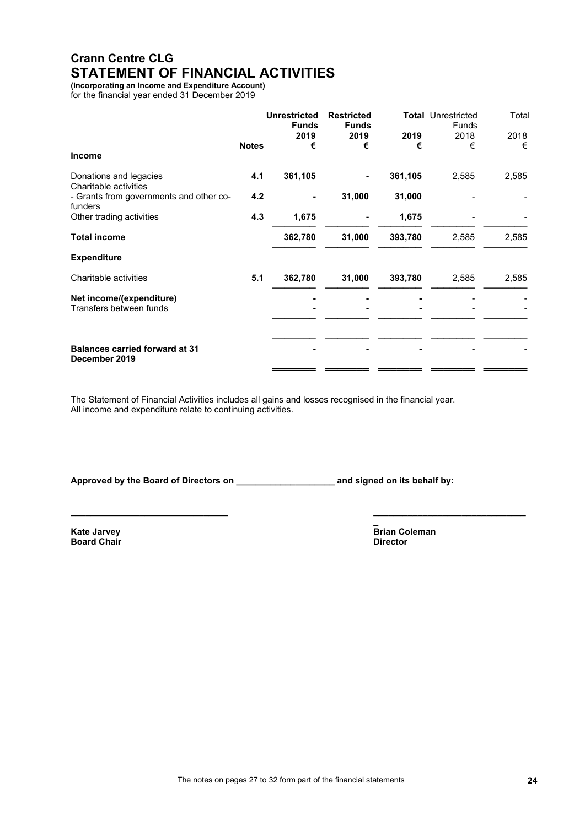# Crann Centre CLG STATEMENT OF FINANCIAL ACTIVITIES

(Incorporating an Income and Expenditure Account) for the financial year ended 31 December 2019

|                                                        |              | <b>Unrestricted</b><br><b>Funds</b> | <b>Restricted</b><br><b>Funds</b> |         | <b>Total Unrestricted</b><br><b>Funds</b> | Total |
|--------------------------------------------------------|--------------|-------------------------------------|-----------------------------------|---------|-------------------------------------------|-------|
|                                                        |              | 2019                                | 2019                              | 2019    | 2018                                      | 2018  |
| <b>Income</b>                                          | <b>Notes</b> | €                                   | €                                 | €       | €                                         | €     |
| Donations and legacies<br>Charitable activities        | 4.1          | 361,105                             |                                   | 361,105 | 2,585                                     | 2,585 |
| - Grants from governments and other co-<br>funders     | 4.2          |                                     | 31,000                            | 31,000  |                                           |       |
| Other trading activities                               | 4.3          | 1,675                               |                                   | 1,675   |                                           |       |
| <b>Total income</b>                                    |              | 362,780                             | 31,000                            | 393,780 | 2,585                                     | 2,585 |
| <b>Expenditure</b>                                     |              |                                     |                                   |         |                                           |       |
| Charitable activities                                  | 5.1          | 362,780                             | 31,000                            | 393,780 | 2,585                                     | 2,585 |
| Net income/(expenditure)<br>Transfers between funds    |              |                                     |                                   |         |                                           |       |
| <b>Balances carried forward at 31</b><br>December 2019 |              |                                     |                                   |         |                                           |       |

The Statement of Financial Activities includes all gains and losses recognised in the financial year. All income and expenditure relate to continuing activities.

Approved by the Board of Directors on \_\_\_\_\_\_\_\_\_\_\_\_\_\_\_\_\_\_\_\_ and signed on its behalf by:

 $\_$  , and the set of the set of the set of the set of the set of the set of the set of the set of the set of the set of the set of the set of the set of the set of the set of the set of the set of the set of the set of th

Board Chair **Board Chair** 

 $\overline{a}$ Kate Jarvey Brian Coleman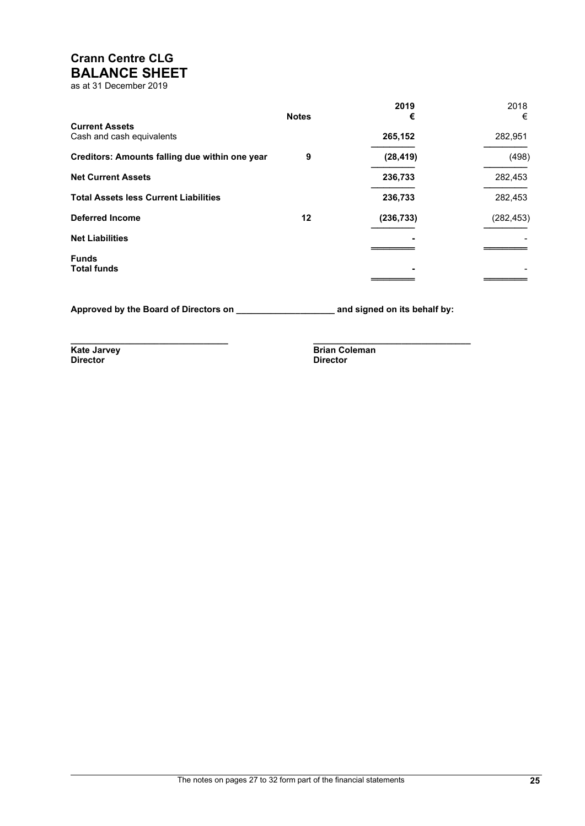# Crann Centre CLG BALANCE SHEET

as at 31 December 2019

|                                                |                   | 2019       | 2018       |
|------------------------------------------------|-------------------|------------|------------|
|                                                | <b>Notes</b>      | €          | €          |
| <b>Current Assets</b>                          |                   |            |            |
| Cash and cash equivalents                      |                   | 265,152    | 282,951    |
| Creditors: Amounts falling due within one year | 9                 | (28, 419)  | (498)      |
| <b>Net Current Assets</b>                      |                   | 236,733    | 282,453    |
| <b>Total Assets less Current Liabilities</b>   |                   | 236,733    | 282,453    |
| <b>Deferred Income</b>                         | $12 \overline{ }$ | (236, 733) | (282, 453) |
| <b>Net Liabilities</b>                         |                   |            |            |
| <b>Funds</b>                                   |                   |            |            |
| <b>Total funds</b>                             |                   |            |            |

Approved by the Board of Directors on \_\_\_\_\_\_\_\_\_\_\_\_\_\_\_\_\_\_\_\_ and signed on its behalf by:

 $\_$  , and the set of the set of the set of the set of the set of the set of the set of the set of the set of the set of the set of the set of the set of the set of the set of the set of the set of the set of the set of th **Kate Jarvey Contract Coleman Coleman Coleman Director Coleman Director** Director Director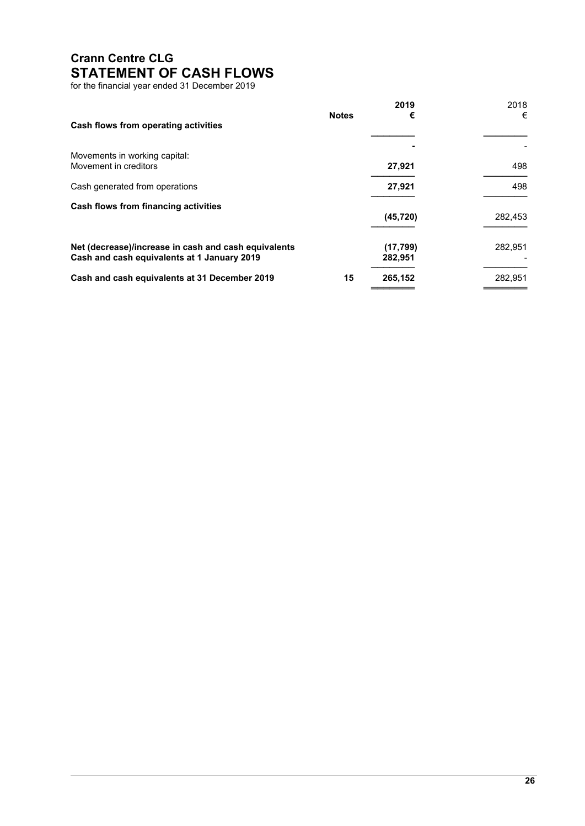# Crann Centre CLG STATEMENT OF CASH FLOWS

for the financial year ended 31 December 2019

| Cash flows from operating activities                                                                | <b>Notes</b> | 2019<br>€            | 2018<br>€ |
|-----------------------------------------------------------------------------------------------------|--------------|----------------------|-----------|
| Movements in working capital:<br>Movement in creditors                                              |              | 27,921               | 498       |
| Cash generated from operations                                                                      |              | 27,921               | 498       |
| Cash flows from financing activities                                                                |              | (45, 720)            | 282,453   |
| Net (decrease)/increase in cash and cash equivalents<br>Cash and cash equivalents at 1 January 2019 |              | (17, 799)<br>282,951 | 282,951   |
| Cash and cash equivalents at 31 December 2019                                                       | 15           | 265,152              | 282,951   |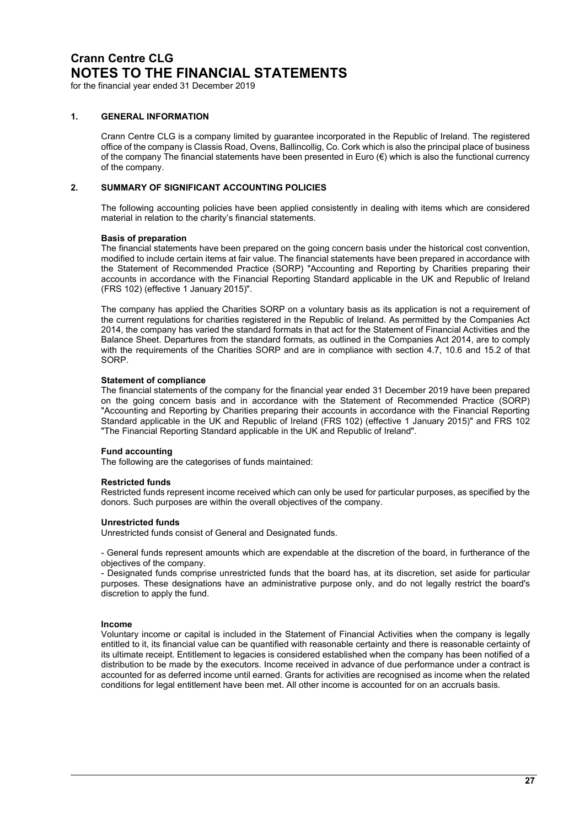### Crann Centre CLG NOTES TO THE FINANCIAL STATEMENTS

for the financial year ended 31 December 2019

#### $\overline{1}$ . **GENERAL INFORMATION**

Crann Centre CLG is a company limited by guarantee incorporated in the Republic of Ireland. The registered office of the company is Classis Road, Ovens, Ballincollig, Co. Cork which is also the principal place of business of the company The financial statements have been presented in Euro (€) which is also the functional currency of the company.

### 2. SUMMARY OF SIGNIFICANT ACCOUNTING POLICIES

 The following accounting policies have been applied consistently in dealing with items which are considered material in relation to the charity's financial statements.

#### Basis of preparation

The financial statements have been prepared on the going concern basis under the historical cost convention, modified to include certain items at fair value. The financial statements have been prepared in accordance with the Statement of Recommended Practice (SORP) "Accounting and Reporting by Charities preparing their accounts in accordance with the Financial Reporting Standard applicable in the UK and Republic of Ireland (FRS 102) (effective 1 January 2015)".

The company has applied the Charities SORP on a voluntary basis as its application is not a requirement of the current regulations for charities registered in the Republic of Ireland. As permitted by the Companies Act 2014, the company has varied the standard formats in that act for the Statement of Financial Activities and the Balance Sheet. Departures from the standard formats, as outlined in the Companies Act 2014, are to comply with the requirements of the Charities SORP and are in compliance with section 4.7, 10.6 and 15.2 of that SORP.

### Statement of compliance

 The financial statements of the company for the financial year ended 31 December 2019 have been prepared on the going concern basis and in accordance with the Statement of Recommended Practice (SORP) "Accounting and Reporting by Charities preparing their accounts in accordance with the Financial Reporting Standard applicable in the UK and Republic of Ireland (FRS 102) (effective 1 January 2015)" and FRS 102 "The Financial Reporting Standard applicable in the UK and Republic of Ireland".

#### Fund accounting

The following are the categorises of funds maintained:

#### Restricted funds

Restricted funds represent income received which can only be used for particular purposes, as specified by the donors. Such purposes are within the overall objectives of the company.

### Unrestricted funds

Unrestricted funds consist of General and Designated funds.

- General funds represent amounts which are expendable at the discretion of the board, in furtherance of the objectives of the company.

- Designated funds comprise unrestricted funds that the board has, at its discretion, set aside for particular purposes. These designations have an administrative purpose only, and do not legally restrict the board's discretion to apply the fund.

#### Income

 Voluntary income or capital is included in the Statement of Financial Activities when the company is legally entitled to it, its financial value can be quantified with reasonable certainty and there is reasonable certainty of its ultimate receipt. Entitlement to legacies is considered established when the company has been notified of a distribution to be made by the executors. Income received in advance of due performance under a contract is accounted for as deferred income until earned. Grants for activities are recognised as income when the related conditions for legal entitlement have been met. All other income is accounted for on an accruals basis.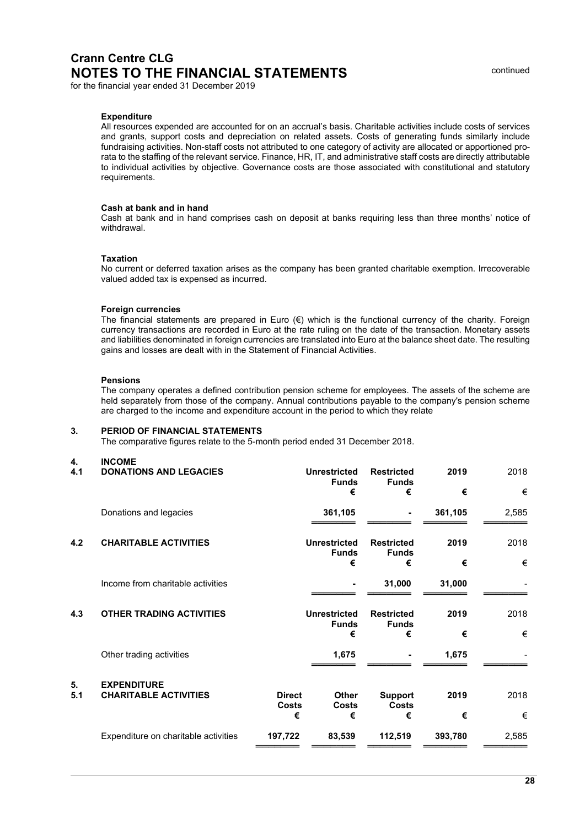### Crann Centre CLG **NOTES TO THE FINANCIAL STATEMENTS** continued

for the financial year ended 31 December 2019

#### **Expenditure**

 All resources expended are accounted for on an accrual's basis. Charitable activities include costs of services and grants, support costs and depreciation on related assets. Costs of generating funds similarly include fundraising activities. Non-staff costs not attributed to one category of activity are allocated or apportioned prorata to the staffing of the relevant service. Finance, HR, IT, and administrative staff costs are directly attributable to individual activities by objective. Governance costs are those associated with constitutional and statutory requirements.

#### Cash at bank and in hand

 Cash at bank and in hand comprises cash on deposit at banks requiring less than three months' notice of withdrawal.

#### **Taxation**

 No current or deferred taxation arises as the company has been granted charitable exemption. Irrecoverable valued added tax is expensed as incurred.

#### **Foreign currencies**

 The financial statements are prepared in Euro (€) which is the functional currency of the charity. Foreign currency transactions are recorded in Euro at the rate ruling on the date of the transaction. Monetary assets and liabilities denominated in foreign currencies are translated into Euro at the balance sheet date. The resulting gains and losses are dealt with in the Statement of Financial Activities.

#### Pensions

The company operates a defined contribution pension scheme for employees. The assets of the scheme are held separately from those of the company. Annual contributions payable to the company's pension scheme are charged to the income and expenditure account in the period to which they relate

#### 3. PERIOD OF FINANCIAL STATEMENTS

The comparative figures relate to the 5-month period ended 31 December 2018.

### 4. INCOME

| 4.1 | <b>DONATIONS AND LEGACIES</b>        |                        | <b>Unrestricted</b><br><b>Funds</b> | <b>Restricted</b><br><b>Funds</b> | 2019    | 2018  |
|-----|--------------------------------------|------------------------|-------------------------------------|-----------------------------------|---------|-------|
|     |                                      |                        | €                                   | €                                 | €       | €     |
|     | Donations and legacies               |                        | 361,105                             | $\blacksquare$                    | 361,105 | 2,585 |
| 4.2 | <b>CHARITABLE ACTIVITIES</b>         |                        | <b>Unrestricted</b><br><b>Funds</b> | <b>Restricted</b><br><b>Funds</b> | 2019    | 2018  |
|     |                                      |                        | €                                   | €                                 | €       | €     |
|     | Income from charitable activities    |                        |                                     | 31,000                            | 31,000  |       |
| 4.3 | <b>OTHER TRADING ACTIVITIES</b>      |                        | <b>Unrestricted</b><br><b>Funds</b> | <b>Restricted</b><br><b>Funds</b> | 2019    | 2018  |
|     |                                      |                        | €                                   | €                                 | €       | €     |
|     | Other trading activities             |                        | 1,675                               |                                   | 1,675   |       |
| 5.  | <b>EXPENDITURE</b>                   |                        |                                     |                                   |         |       |
| 5.1 | <b>CHARITABLE ACTIVITIES</b>         | <b>Direct</b><br>Costs | Other<br><b>Costs</b>               | <b>Support</b><br><b>Costs</b>    | 2019    | 2018  |
|     |                                      | €                      | €                                   | €                                 | €       | €     |
|     | Expenditure on charitable activities | 197,722                | 83,539                              | 112,519                           | 393,780 | 2,585 |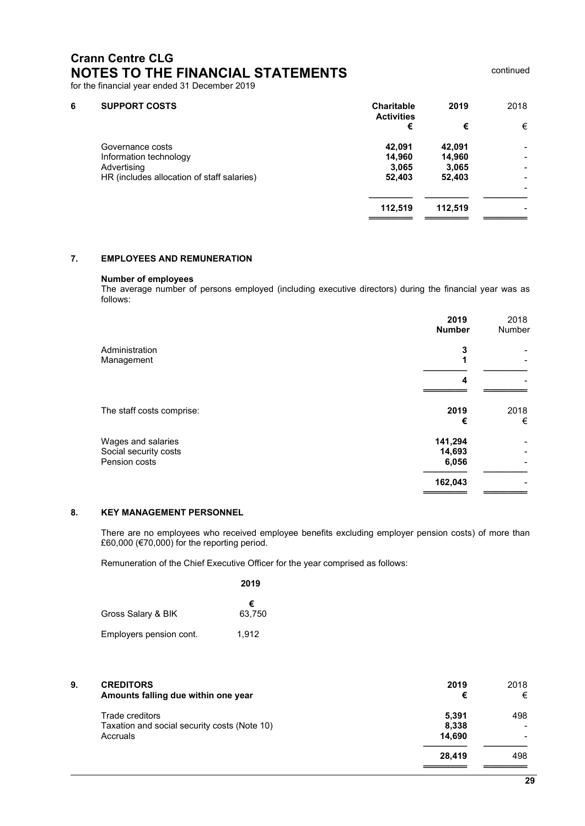## Crann Centre CLG NOTES TO THE FINANCIAL STATEMENTS **EXAMPLE STATEMENTS** continued

for the financial year ended 31 December 2019

| 6 | <b>SUPPORT COSTS</b>                       | <b>Charitable</b><br><b>Activities</b> | 2019    | 2018 |
|---|--------------------------------------------|----------------------------------------|---------|------|
|   |                                            | €                                      | €       | €    |
|   | Governance costs                           | 42,091                                 | 42,091  |      |
|   | Information technology                     | 14,960                                 | 14,960  |      |
|   | Advertising                                | 3,065                                  | 3,065   |      |
|   | HR (includes allocation of staff salaries) | 52,403                                 | 52,403  |      |
|   |                                            |                                        |         |      |
|   |                                            | 112,519                                | 112,519 |      |
|   |                                            |                                        |         |      |

#### $7.$ **EMPLOYEES AND REMUNERATION**

### Number of employees

 The average number of persons employed (including executive directors) during the financial year was as follows:

|                                                              | 2019<br><b>Number</b>      | 2018<br>Number |
|--------------------------------------------------------------|----------------------------|----------------|
| Administration<br>Management                                 | 3                          |                |
|                                                              | 4                          |                |
| The staff costs comprise:                                    | 2019<br>€                  | 2018<br>€      |
| Wages and salaries<br>Social security costs<br>Pension costs | 141,294<br>14,693<br>6,056 |                |
|                                                              | 162,043                    |                |

#### $8.$ **KEY MANAGEMENT PERSONNEL**

There are no employees who received employee benefits excluding employer pension costs) of more than £60,000 ( $\epsilon$ 70,000) for the reporting period.

Remuneration of the Chief Executive Officer for the year comprised as follows:

|                         | 2019        |
|-------------------------|-------------|
| Gross Salary & BIK      | €<br>63.750 |
| Employers pension cont. | 1.912       |

| 9. | <b>CREDITORS</b><br>Amounts falling due within one year | 2019<br>€ | 2018<br>€ |
|----|---------------------------------------------------------|-----------|-----------|
|    | Trade creditors                                         | 5.391     | 498       |
|    | Taxation and social security costs (Note 10)            | 8,338     |           |
|    | Accruals                                                | 14,690    |           |
|    |                                                         | 28,419    | 498       |
|    |                                                         |           |           |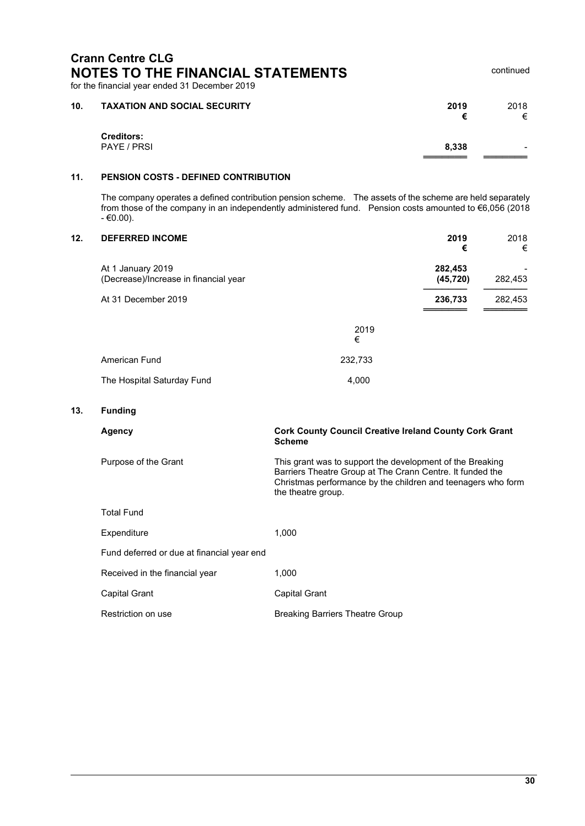|                 | <b>Crann Centre CLG</b><br><b>NOTES TO THE FINANCIAL STATEMENTS</b><br>for the financial year ended 31 December 2019 |           | continued |
|-----------------|----------------------------------------------------------------------------------------------------------------------|-----------|-----------|
| 10 <sub>1</sub> | <b>TAXATION AND SOCIAL SECURITY</b>                                                                                  | 2019<br>€ | 2018<br>€ |
|                 | <b>Creditors:</b><br>PAYE / PRSI                                                                                     | 8.338     |           |

#### $11.$ PENSION COSTS - DEFINED CONTRIBUTION

The company operates a defined contribution pension scheme. The assets of the scheme are held separately from those of the company in an independently administered fund. Pension costs amounted to €6,056 (2018 - €0.00).

| 12. | <b>DEFERRED INCOME</b>                                     |           | 2019<br>€            | 2018<br>€                           |
|-----|------------------------------------------------------------|-----------|----------------------|-------------------------------------|
|     | At 1 January 2019<br>(Decrease)/Increase in financial year |           | 282,453<br>(45, 720) | $\overline{\phantom{a}}$<br>282,453 |
|     | At 31 December 2019                                        |           | 236,733              | 282,453                             |
|     |                                                            | 2019<br>€ |                      |                                     |
|     | American Fund                                              | 232,733   |                      |                                     |
|     | The Hospital Saturday Fund                                 | 4,000     |                      |                                     |

### 13. Funding

| Agency                                     | <b>Cork County Council Creative Ireland County Cork Grant</b><br><b>Scheme</b>                                                                                                                               |
|--------------------------------------------|--------------------------------------------------------------------------------------------------------------------------------------------------------------------------------------------------------------|
| Purpose of the Grant                       | This grant was to support the development of the Breaking<br>Barriers Theatre Group at The Crann Centre. It funded the<br>Christmas performance by the children and teenagers who form<br>the theatre group. |
| <b>Total Fund</b>                          |                                                                                                                                                                                                              |
| Expenditure                                | 1.000                                                                                                                                                                                                        |
| Fund deferred or due at financial year end |                                                                                                                                                                                                              |
| Received in the financial year             | 1.000                                                                                                                                                                                                        |
| <b>Capital Grant</b>                       | <b>Capital Grant</b>                                                                                                                                                                                         |
| Restriction on use                         | <b>Breaking Barriers Theatre Group</b>                                                                                                                                                                       |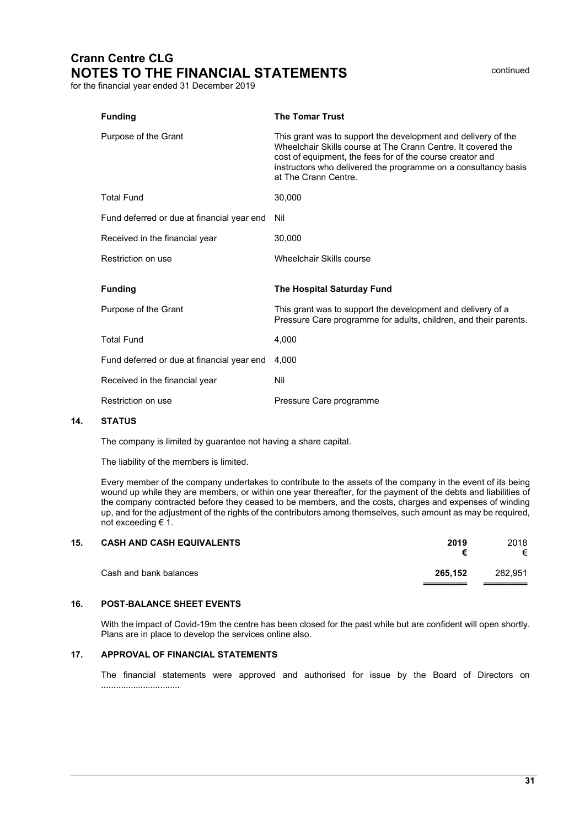# Crann Centre CLG **NOTES TO THE FINANCIAL STATEMENTS Example 20 CONTINUED** COntinued

for the financial year ended 31 December 2019

| <b>Funding</b>                             | <b>The Tomar Trust</b>                                                                                                                                                                                                                                                               |
|--------------------------------------------|--------------------------------------------------------------------------------------------------------------------------------------------------------------------------------------------------------------------------------------------------------------------------------------|
| Purpose of the Grant                       | This grant was to support the development and delivery of the<br>Wheelchair Skills course at The Crann Centre. It covered the<br>cost of equipment, the fees for of the course creator and<br>instructors who delivered the programme on a consultancy basis<br>at The Crann Centre. |
| <b>Total Fund</b>                          | 30,000                                                                                                                                                                                                                                                                               |
| Fund deferred or due at financial year end | Nil                                                                                                                                                                                                                                                                                  |
| Received in the financial year             | 30.000                                                                                                                                                                                                                                                                               |
| Restriction on use                         | Wheelchair Skills course                                                                                                                                                                                                                                                             |
| <b>Funding</b>                             | The Hospital Saturday Fund                                                                                                                                                                                                                                                           |
| Purpose of the Grant                       | This grant was to support the development and delivery of a<br>Pressure Care programme for adults, children, and their parents.                                                                                                                                                      |
| <b>Total Fund</b>                          | 4,000                                                                                                                                                                                                                                                                                |
| Fund deferred or due at financial year end | 4.000                                                                                                                                                                                                                                                                                |
| Received in the financial year             | Nil                                                                                                                                                                                                                                                                                  |
| Restriction on use                         | Pressure Care programme                                                                                                                                                                                                                                                              |

#### 14. STATUS

The company is limited by guarantee not having a share capital.

The liability of the members is limited.

Every member of the company undertakes to contribute to the assets of the company in the event of its being wound up while they are members, or within one year thereafter, for the payment of the debts and liabilities of the company contracted before they ceased to be members, and the costs, charges and expenses of winding up, and for the adjustment of the rights of the contributors among themselves, such amount as may be required, not exceeding  $\epsilon$  1.

| 15. | <b>CASH AND CASH EQUIVALENTS</b> | 2019    | 2018<br>€ |
|-----|----------------------------------|---------|-----------|
|     | Cash and bank balances           | 265.152 | 282.951   |

#### 16. POST-BALANCE SHEET EVENTS

 With the impact of Covid-19m the centre has been closed for the past while but are confident will open shortly. Plans are in place to develop the services online also.

#### 17. APPROVAL OF FINANCIAL STATEMENTS

 The financial statements were approved and authorised for issue by the Board of Directors on ................................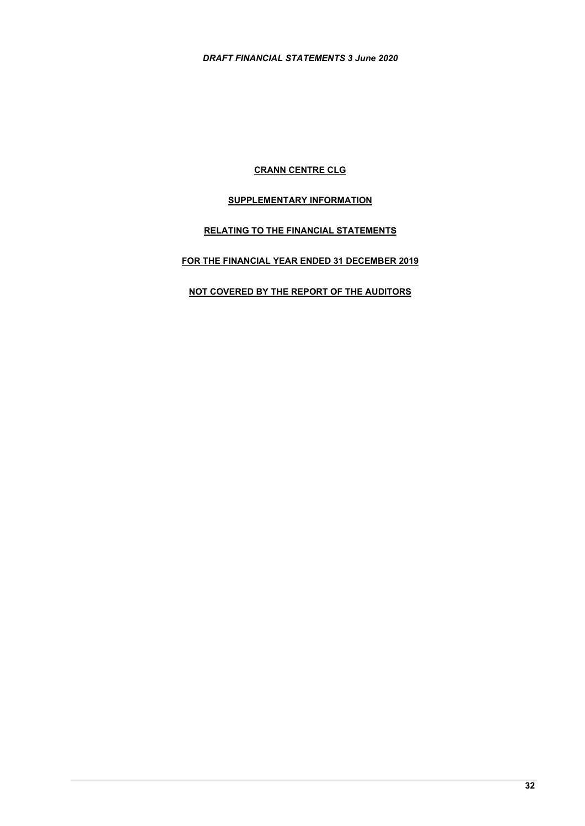### CRANN CENTRE CLG

### SUPPLEMENTARY INFORMATION

### RELATING TO THE FINANCIAL STATEMENTS

### FOR THE FINANCIAL YEAR ENDED 31 DECEMBER 2019

NOT COVERED BY THE REPORT OF THE AUDITORS